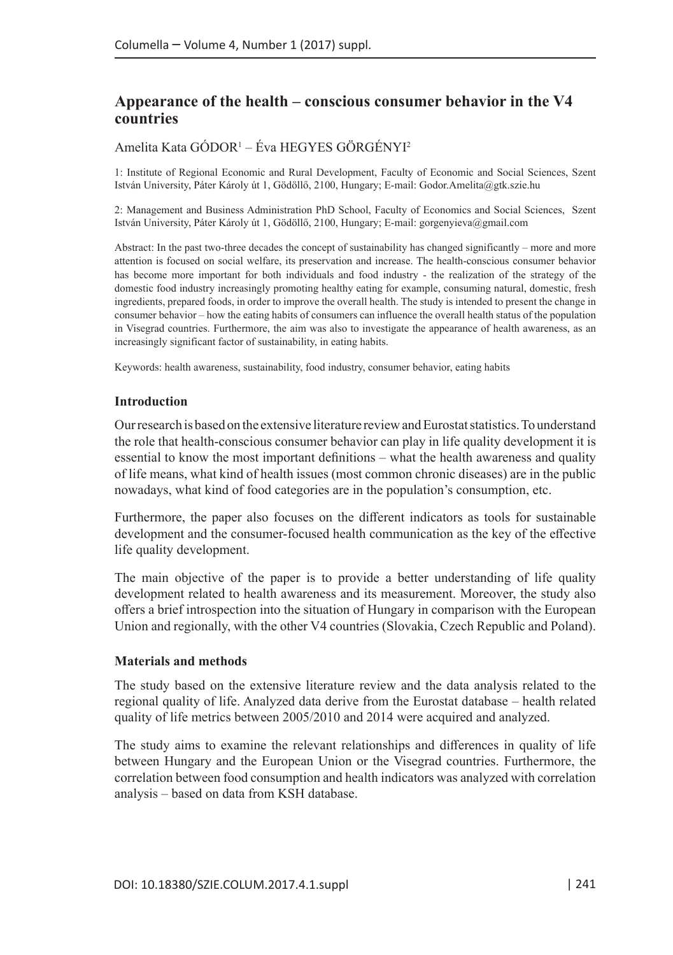# **Appearance of the health – conscious consumer behavior in the V4 countries**

## Amelita Kata GODOR<sup>1</sup> – Éva HEGYES GÖRGÉNYI<sup>2</sup>

1: Institute of Regional Economic and Rural Development, Faculty of Economic and Social Sciences, Szent István University, Páter Károly út 1, Gödöllő, 2100, Hungary; E-mail: [Godor.Amelita@gtk.szie.hu](mailto:Godor.Amelita@gtk.szie.hu)

2: Management and Business Administration PhD School, Faculty of Economics and Social Sciences, Szent István University, Páter Károly út 1, Gödöllő, 2100, Hungary; E-mail: [gorgenyieva@gmail.com](mailto:gorgenyieva@gmail.com)

Abstract: In the past two-three decades the concept of sustainability has changed significantly – more and more attention is focused on social welfare, its preservation and increase. The health-conscious consumer behavior has become more important for both individuals and food industry - the realization of the strategy of the domestic food industry increasingly promoting healthy eating for example, consuming natural, domestic, fresh ingredients, prepared foods, in order to improve the overall health. The study is intended to present the change in consumer behavior – how the eating habits of consumers can influence the overall health status of the population in Visegrad countries. Furthermore, the aim was also to investigate the appearance of health awareness, as an increasingly significant factor of sustainability, in eating habits.

Keywords: health awareness, sustainability, food industry, consumer behavior, eating habits

#### **Introduction**

Our research is based on the extensive literature review and Eurostat statistics. To understand the role that health-conscious consumer behavior can play in life quality development it is essential to know the most important definitions – what the health awareness and quality of life means, what kind of health issues (most common chronic diseases) are in the public nowadays, what kind of food categories are in the population's consumption, etc.

Furthermore, the paper also focuses on the different indicators as tools for sustainable development and the consumer-focused health communication as the key of the effective life quality development.

The main objective of the paper is to provide a better understanding of life quality development related to health awareness and its measurement. Moreover, the study also offers a brief introspection into the situation of Hungary in comparison with the European Union and regionally, with the other V4 countries (Slovakia, Czech Republic and Poland).

#### **Materials and methods**

The study based on the extensive literature review and the data analysis related to the regional quality of life. Analyzed data derive from the Eurostat database – health related quality of life metrics between 2005/2010 and 2014 were acquired and analyzed.

The study aims to examine the relevant relationships and differences in quality of life between Hungary and the European Union or the Visegrad countries. Furthermore, the correlation between food consumption and health indicators was analyzed with correlation analysis – based on data from KSH database.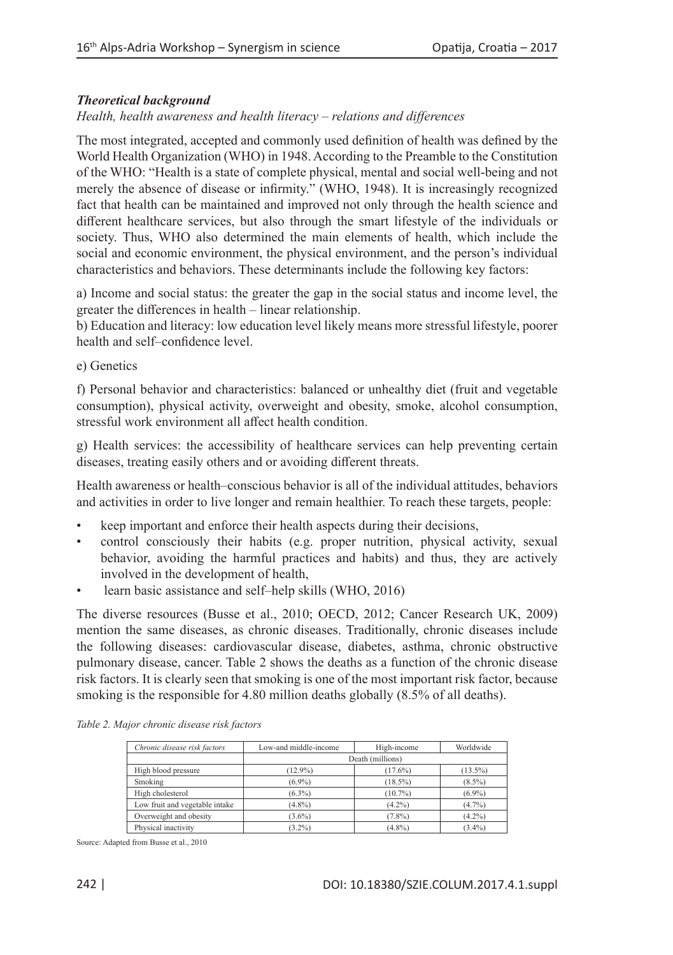## *Theoretical background*

*Health, health awareness and health literacy – relations and differences*

The most integrated, accepted and commonly used definition of health was defined by the World Health Organization (WHO) in 1948. According to the Preamble to the Constitution of the WHO: "Health is a state of complete physical, mental and social well-being and not merely the absence of disease or infirmity." (WHO, 1948). It is increasingly recognized fact that health can be maintained and improved not only through the health science and different healthcare services, but also through the smart lifestyle of the individuals or society. Thus, WHO also determined the main elements of health, which include the social and economic environment, the physical environment, and the person's individual characteristics and behaviors. These determinants include the following key factors:

a) Income and social status: the greater the gap in the social status and income level, the greater the differences in health – linear relationship.

b) Education and literacy: low education level likely means more stressful lifestyle, poorer health and self–confidence level.

e) Genetics

f) Personal behavior and characteristics: balanced or unhealthy diet (fruit and vegetable consumption), physical activity, overweight and obesity, smoke, alcohol consumption, stressful work environment all affect health condition.

g) Health services: the accessibility of healthcare services can help preventing certain diseases, treating easily others and or avoiding different threats.

Health awareness or health–conscious behavior is all of the individual attitudes, behaviors and activities in order to live longer and remain healthier. To reach these targets, people:

- keep important and enforce their health aspects during their decisions,
- control consciously their habits (e.g. proper nutrition, physical activity, sexual behavior, avoiding the harmful practices and habits) and thus, they are actively involved in the development of health,
- learn basic assistance and self–help skills (WHO, 2016)

The diverse resources (Busse et al., 2010; OECD, 2012; Cancer Research UK, 2009) mention the same diseases, as chronic diseases. Traditionally, chronic diseases include the following diseases: cardiovascular disease, diabetes, asthma, chronic obstructive pulmonary disease, cancer. Table 2 shows the deaths as a function of the chronic disease risk factors. It is clearly seen that smoking is one of the most important risk factor, because smoking is the responsible for 4.80 million deaths globally (8.5% of all deaths).

| Chronic disease risk factors   | Low-and middle-income | High-income | Worldwide  |  |  |  |  |  |
|--------------------------------|-----------------------|-------------|------------|--|--|--|--|--|
|                                | Death (millions)      |             |            |  |  |  |  |  |
| High blood pressure            | $(12.9\%)$            | $(17.6\%)$  | $(13.5\%)$ |  |  |  |  |  |
| Smoking                        | $(6.9\%)$             | $(18.5\%)$  | $(8.5\%)$  |  |  |  |  |  |
| High cholesterol               | $(6.3\%)$             | $(10.7\%)$  | $(6.9\%)$  |  |  |  |  |  |
| Low fruit and vegetable intake | $(4.8\%)$             | $(4.2\%)$   | $(4.7\%)$  |  |  |  |  |  |
| Overweight and obesity         | $(3.6\%)$             | $(7.8\%)$   | $(4.2\%)$  |  |  |  |  |  |
| Physical inactivity            | $(3.2\%)$             | $(4.8\%)$   | $(3.4\%)$  |  |  |  |  |  |

Source: Adapted from Busse et al., 2010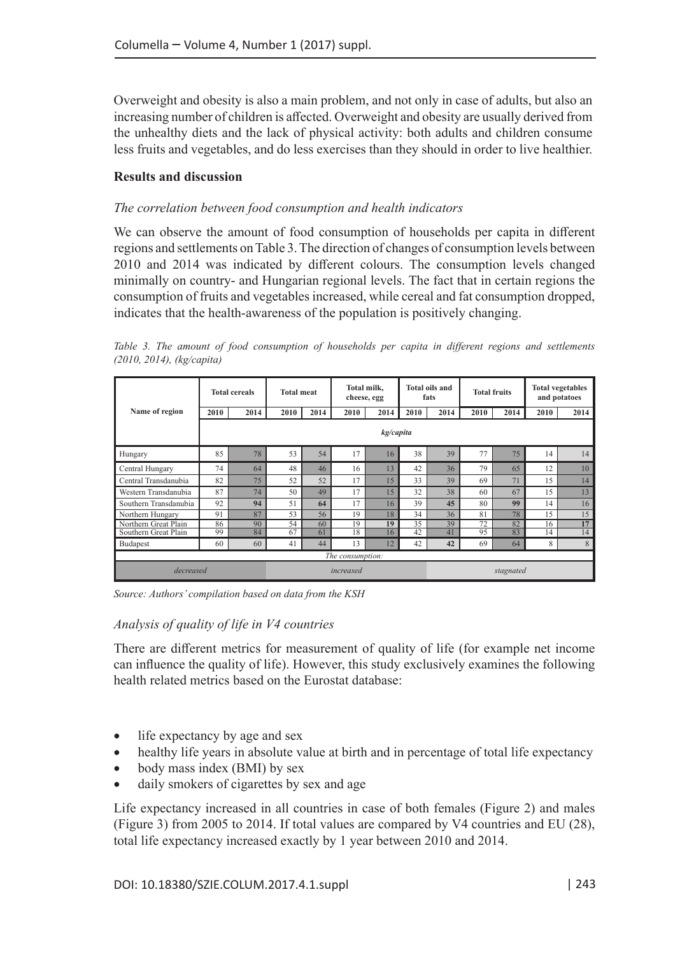Overweight and obesity is also a main problem, and not only in case of adults, but also an increasing number of children is affected. Overweight and obesity are usually derived from the unhealthy diets and the lack of physical activity: both adults and children consume less fruits and vegetables, and do less exercises than they should in order to live healthier.

#### **Results and discussion**

### *The correlation between food consumption and health indicators*

We can observe the amount of food consumption of households per capita in different regions and settlements on Table 3. The direction of changes of consumption levels between 2010 and 2014 was indicated by different colours. The consumption levels changed minimally on country- and Hungarian regional levels. The fact that in certain regions the consumption of fruits and vegetables increased, while cereal and fat consumption dropped, indicates that the health-awareness of the population is positively changing.

|                       | <b>Total cereals</b> |      | <b>Total meat</b> |      | Total milk.<br>cheese, egg |           | <b>Total oils and</b><br>fats |      | <b>Total fruits</b> |      | <b>Total vegetables</b><br>and potatoes |      |
|-----------------------|----------------------|------|-------------------|------|----------------------------|-----------|-------------------------------|------|---------------------|------|-----------------------------------------|------|
| Name of region        | 2010                 | 2014 | 2010              | 2014 | 2010                       | 2014      | 2010                          | 2014 | 2010                | 2014 | 2010                                    | 2014 |
|                       | kg/capita            |      |                   |      |                            |           |                               |      |                     |      |                                         |      |
| Hungary               | 85                   | 78   | 53                | 54   | 17                         | 16        | 38                            | 39   | 77                  | 75   | 14                                      | 14   |
| Central Hungary       | 74                   | 64   | 48                | 46   | 16                         | 13        | 42                            | 36   | 79                  | 65   | 12                                      | 10   |
| Central Transdanubia  | 82                   | 75   | 52                | 52   | 17                         | 15        | 33                            | 39   | 69                  | 71   | 15                                      | 14   |
| Western Transdanubia  | 87                   | 74   | 50                | 49   | 17                         | 15        | 32                            | 38   | 60                  | 67   | 15                                      | 13   |
| Southern Transdanubia | 92                   | 94   | 51                | 64   | 17                         | 16        | 39                            | 45   | 80                  | 99   | 14                                      | 16   |
| Northern Hungary      | 91                   | 87   | 53                | 56   | 19                         | 18        | 34                            | 36   | 81                  | 78   | 15                                      | 15   |
| Northern Great Plain  | 86                   | 90   | 54                | 60   | 19                         | 19        | 35                            | 39   | 72                  | 82   | 16                                      | 17   |
| Southern Great Plain  | 99                   | 84   | 67                | 61   | 18                         | 16        | 42                            | 41   | 95                  | 83   | 14                                      | 14   |
| Budapest              | 60                   | 60   | 41                | 44   | 13                         | 12        | 42                            | 42   | 69                  | 64   | 8                                       | 8    |
| The consumption:      |                      |      |                   |      |                            |           |                               |      |                     |      |                                         |      |
| decreased             |                      |      | increased         |      |                            | stagnated |                               |      |                     |      |                                         |      |

*Table 3. The amount of food consumption of households per capita in different regions and settlements (2010, 2014), (kg/capita)*

*Source: Authors' compilation based on data from the KSH*

#### *Analysis of quality of life in V4 countries*

There are different metrics for measurement of quality of life (for example net income can influence the quality of life). However, this study exclusively examines the following health related metrics based on the Eurostat database:

- life expectancy by age and sex
- healthy life years in absolute value at birth and in percentage of total life expectancy
- body mass index (BMI) by sex
- daily smokers of cigarettes by sex and age

Life expectancy increased in all countries in case of both females (Figure 2) and males (Figure 3) from 2005 to 2014. If total values are compared by V4 countries and EU (28), total life expectancy increased exactly by 1 year between 2010 and 2014.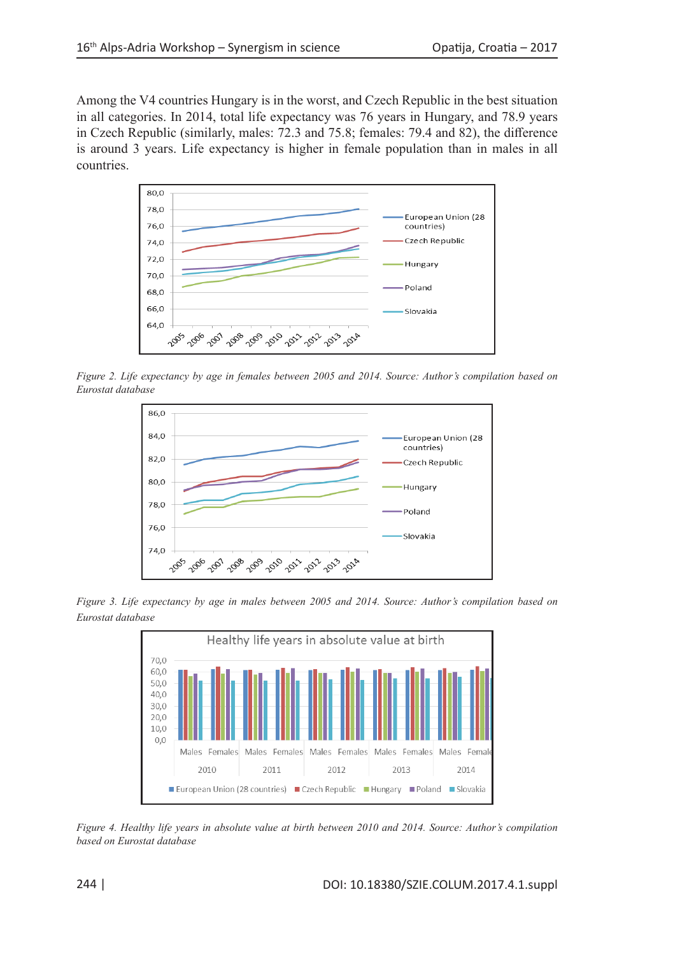Among the V4 countries Hungary is in the worst, and Czech Republic in the best situation in all categories. In 2014, total life expectancy was 76 years in Hungary, and 78.9 years in Czech Republic (similarly, males: 72.3 and 75.8; females: 79.4 and 82), the difference is around 3 years. Life expectancy is higher in female population than in males in all countries.



*Figure 2. Life expectancy by age in females between 2005 and 2014. Source: Author's compilation based on Eurostat database*



*Figure 3. Life expectancy by age in males between 2005 and 2014. Source: Author's compilation based on Eurostat database* 



*Figure 4. Healthy life years in absolute value at birth between 2010 and 2014. Source: Author's compilation based on Eurostat database*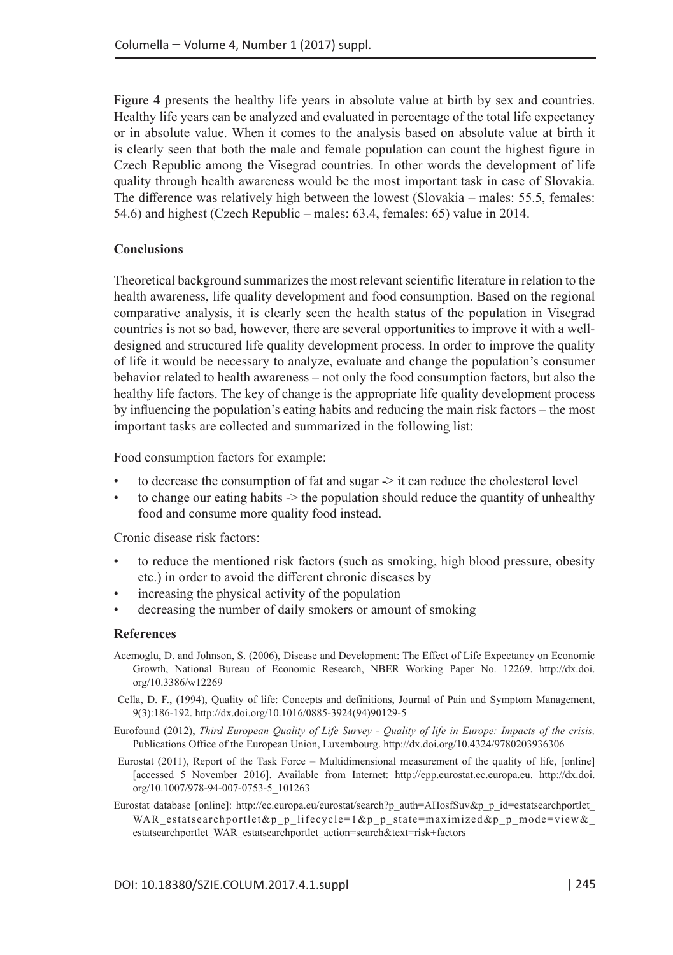Figure 4 presents the healthy life years in absolute value at birth by sex and countries. Healthy life years can be analyzed and evaluated in percentage of the total life expectancy or in absolute value. When it comes to the analysis based on absolute value at birth it is clearly seen that both the male and female population can count the highest figure in Czech Republic among the Visegrad countries. In other words the development of life quality through health awareness would be the most important task in case of Slovakia. The difference was relatively high between the lowest (Slovakia – males: 55.5, females: 54.6) and highest (Czech Republic – males: 63.4, females: 65) value in 2014.

#### **Conclusions**

Theoretical background summarizes the most relevant scientific literature in relation to the health awareness, life quality development and food consumption. Based on the regional comparative analysis, it is clearly seen the health status of the population in Visegrad countries is not so bad, however, there are several opportunities to improve it with a welldesigned and structured life quality development process. In order to improve the quality of life it would be necessary to analyze, evaluate and change the population's consumer behavior related to health awareness – not only the food consumption factors, but also the healthy life factors. The key of change is the appropriate life quality development process by influencing the population's eating habits and reducing the main risk factors – the most important tasks are collected and summarized in the following list:

Food consumption factors for example:

- to decrease the consumption of fat and sugar -> it can reduce the cholesterol level
- to change our eating habits  $\geq$  the population should reduce the quantity of unhealthy food and consume more quality food instead.

Cronic disease risk factors:

- to reduce the mentioned risk factors (such as smoking, high blood pressure, obesity etc.) in order to avoid the different chronic diseases by
- increasing the physical activity of the population
- decreasing the number of daily smokers or amount of smoking

#### **References**

- Acemoglu, D. and Johnson, S. (2006), Disease and Development: The Effect of Life Expectancy on Economic Growth, National Bureau of Economic Research, NBER Working Paper No. 12269. [http://dx.doi.](http://dx.doi.org/10.3386/w12269) [org/10.3386/w12269](http://dx.doi.org/10.3386/w12269)
- Cella, D. F., (1994), Quality of life: Concepts and definitions, Journal of Pain and Symptom Management, 9(3):186-192. [http://dx.doi.org/10.1016/0885-3924\(94\)90129-5](http://dx.doi.org/10.1016/0885-3924(94)90129-5)
- Eurofound (2012), *Third European Quality of Life Survey Quality of life in Europe: Impacts of the crisis,* Publications Office of the European Union, Luxembourg. <http://dx.doi.org/10.4324/9780203936306>
- Eurostat (2011), Report of the Task Force Multidimensional measurement of the quality of life, [online] [accessed 5 November 2016]. Available from Internet: <http://epp.eurostat.ec.europa.eu>. [http://dx.doi.](http://dx.doi.org/10.1007/978-94-007-0753-5_101263) [org/10.1007/978-94-007-0753-5\\_101263](http://dx.doi.org/10.1007/978-94-007-0753-5_101263)
- Eurostat database [online]: [http://ec.europa.eu/eurostat/search?p\\_auth=AHosfSuv&p\\_p\\_id=estatsearchportlet\\_](http://ec.europa.eu/eurostat/search?p_auth=AHosfSuv&p_p_id=estatsearchportlet_WAR_estatsearchportlet&p_p_lifecycle=1&p_p_state=maximized&p_p_mode=view&_estatsearchportlet_WAR_estatsearchportlet_action=search&text=risk+factors) WAR\_estatsearchportlet&p\_p\_lifecycle=1&p\_p\_state=maximized&p\_p\_mode=view& [estatsearchportlet\\_WAR\\_estatsearchportlet\\_action=search&text=risk+factors](http://ec.europa.eu/eurostat/search?p_auth=AHosfSuv&p_p_id=estatsearchportlet_WAR_estatsearchportlet&p_p_lifecycle=1&p_p_state=maximized&p_p_mode=view&_estatsearchportlet_WAR_estatsearchportlet_action=search&text=risk+factors)